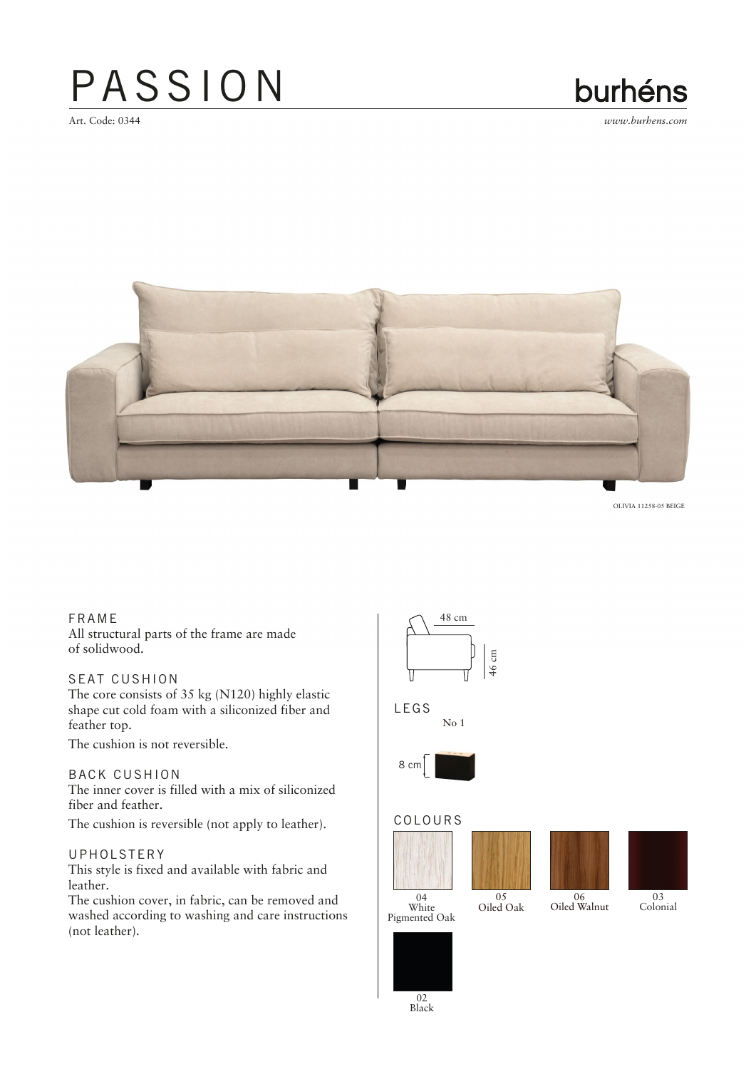## PASSION

Art. Code: 0344

### burhéns

*www.burhens.com*



OLIVIA 11258-05 BEIGE

FRA ME All structural parts of the frame are made of solidwood.

#### SEAT CUSHION

The core consists of 35 kg (N120) highly elastic shape cut cold foam with a siliconized fiber and feather top.

The cushion is not reversible.

#### BACK CUSHION

The inner cover is filled with a mix of siliconized fiber and feather.

The cushion is reversible (not apply to leather).

#### UPHOLSTERY

This style is fixed and available with fabric and leather.

The cushion cover, in fabric, can be removed and washed according to washing and care instructions (not leather).









Colonial